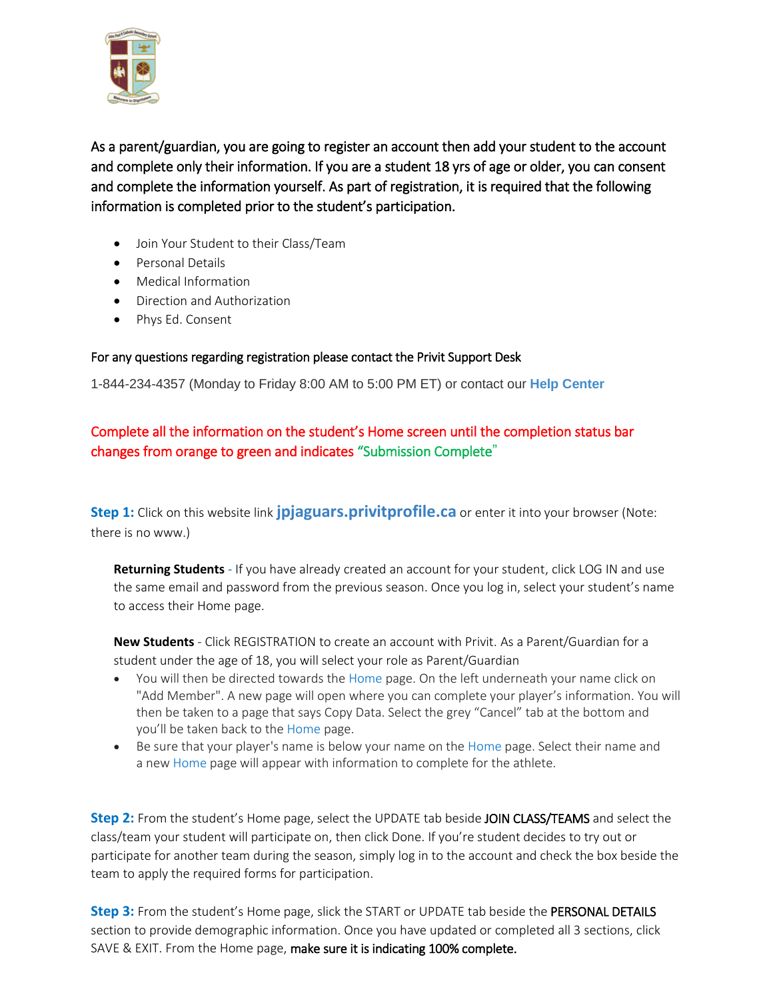

As a parent/guardian, you are going to register an account then add your student to the account and complete only their information. If you are a student 18 yrs of age or older, you can consent and complete the information yourself. As part of registration, it is required that the following information is completed prior to the student's participation.

- Join Your Student to their Class/Team
- Personal Details
- Medical Information
- Direction and Authorization
- Phys Ed. Consent

## For any questions regarding registration please contact the Privit Support Desk

1-844-234-4357 (Monday to Friday 8:00 AM to 5:00 PM ET) or contact our **Help [Center](https://support.privit.com/hc/en-us)**

## Complete all the information on the student's Home screen until the completion status bar changes from orange to green and indicates "Submission Complete"

**Step 1:** Click on this website link **[jpjaguars.privitprofile.ca](https://jpjaguars.privitprofile.ca/)** or enter it into your browser (Note: there is no www.)

**Returning Students** - If you have already created an account for your student, click LOG IN and use the same email and password from the previous season. Once you log in, select your student's name to access their Home page.

**New Students** - Click REGISTRATION to create an account with Privit. As a Parent/Guardian for a student under the age of 18, you will select your role as Parent/Guardian

- You will then be directed towards the Home page. On the left underneath your name click on "Add Member". A new page will open where you can complete your player's information. You will then be taken to a page that says Copy Data. Select the grey "Cancel" tab at the bottom and you'll be taken back to the Home page.
- Be sure that your player's name is below your name on the Home page. Select their name and a new Home page will appear with information to complete for the athlete.

**Step 2:** From the student's Home page, select the UPDATE tab beside JOIN CLASS/TEAMS and select the class/team your student will participate on, then click Done. If you're student decides to try out or participate for another team during the season, simply log in to the account and check the box beside the team to apply the required forms for participation.

**Step 3:** From the student's Home page, slick the START or UPDATE tab beside the PERSONAL DETAILS section to provide demographic information. Once you have updated or completed all 3 sections, click SAVE & EXIT. From the Home page, make sure it is indicating 100% complete.